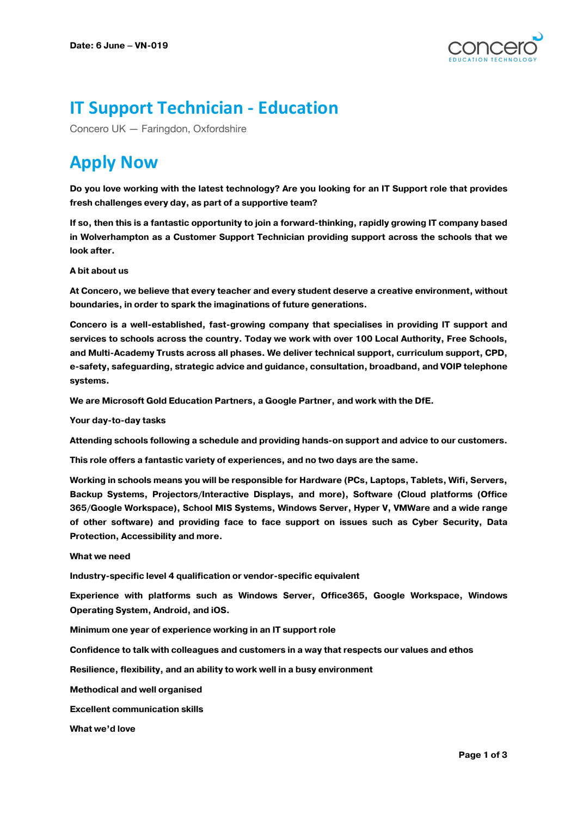

## **IT Support Technician - Education**

Concero UK — Faringdon, Oxfordshire

# **Apply Now**

**Do you love working with the latest technology? Are you looking for an IT Support role that provides fresh challenges every day, as part of a supportive team?**

**If so, then this is a fantastic opportunity to join a forward-thinking, rapidly growing IT company based in Wolverhampton as a Customer Support Technician providing support across the schools that we look after.**

## **A bit about us**

**At Concero, we believe that every teacher and every student deserve a creative environment, without boundaries, in order to spark the imaginations of future generations.**

**Concero is a well-established, fast-growing company that specialises in providing IT support and services to schools across the country. Today we work with over 100 Local Authority, Free Schools, and Multi-Academy Trusts across all phases. We deliver technical support, curriculum support, CPD, e-safety, safeguarding, strategic advice and guidance, consultation, broadband, and VOIP telephone systems.**

**We are Microsoft Gold Education Partners, a Google Partner, and work with the DfE.**

**Your day-to-day tasks**

**Attending schools following a schedule and providing hands-on support and advice to our customers.**

**This role offers a fantastic variety of experiences, and no two days are the same.**

**Working in schools means you will be responsible for Hardware (PCs, Laptops, Tablets, Wifi, Servers, Backup Systems, Projectors/Interactive Displays, and more), Software (Cloud platforms (Office 365/Google Workspace), School MIS Systems, Windows Server, Hyper V, VMWare and a wide range of other software) and providing face to face support on issues such as Cyber Security, Data Protection, Accessibility and more.**

#### **What we need**

**Industry-specific level 4 qualification or vendor-specific equivalent**

**Experience with platforms such as Windows Server, Office365, Google Workspace, Windows Operating System, Android, and iOS.**

**Minimum one year of experience working in an IT support role**

**Confidence to talk with colleagues and customers in a way that respects our values and ethos**

**Resilience, flexibility, and an ability to work well in a busy environment**

**Methodical and well organised**

**Excellent communication skills**

**What we'd love**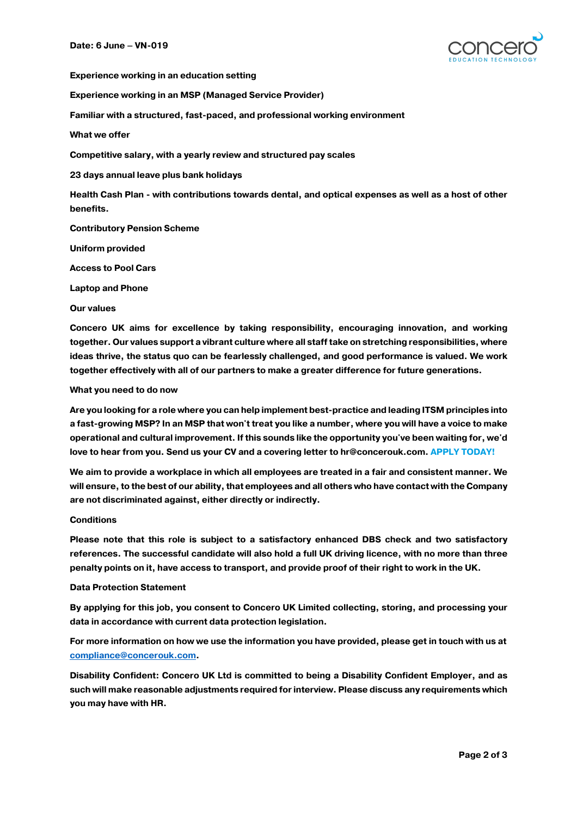

**Experience working in an education setting**

**Experience working in an MSP (Managed Service Provider)**

**Familiar with a structured, fast-paced, and professional working environment**

**What we offer**

**Competitive salary, with a yearly review and structured pay scales**

**23 days annual leave plus bank holidays**

**Health Cash Plan - with contributions towards dental, and optical expenses as well as a host of other benefits.**

**Contributory Pension Scheme**

**Uniform provided**

**Access to Pool Cars**

**Laptop and Phone**

**Our values**

**Concero UK aims for excellence by taking responsibility, encouraging innovation, and working together. Our values support a vibrant culture where all staff take on stretching responsibilities, where ideas thrive, the status quo can be fearlessly challenged, and good performance is valued. We work together effectively with all of our partners to make a greater difference for future generations.**

#### **What you need to do now**

**Are you looking for a role where you can help implement best-practice and leading ITSM principles into a fast-growing MSP? In an MSP that won't treat you like a number, where you will have a voice to make operational and cultural improvement. If this sounds like the opportunity you've been waiting for, we'd love to hear from you. Send us your CV and a covering letter to hr@concerouk.com. APPLY TODAY!**

**We aim to provide a workplace in which all employees are treated in a fair and consistent manner. We will ensure, to the best of our ability, that employees and all others who have contact with the Company are not discriminated against, either directly or indirectly.**

#### **Conditions**

**Please note that this role is subject to a satisfactory enhanced DBS check and two satisfactory references. The successful candidate will also hold a full UK driving licence, with no more than three penalty points on it, have access to transport, and provide proof of their right to work in the UK.**

## **Data Protection Statement**

**By applying for this job, you consent to Concero UK Limited collecting, storing, and processing your data in accordance with current data protection legislation.**

**For more information on how we use the information you have provided, please get in touch with us at compliance@concerouk.com.**

**Disability Confident: Concero UK Ltd is committed to being a Disability Confident Employer, and as such will make reasonable adjustments required for interview. Please discuss any requirements which you may have with HR.**